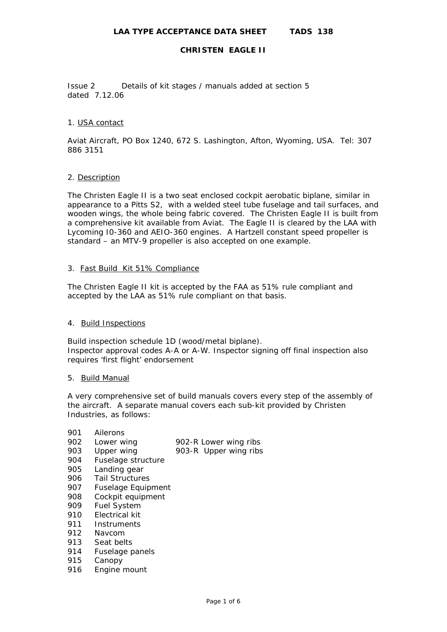Issue 2 Details of kit stages / manuals added at section 5 dated 7.12.06

## 1. USA contact

Aviat Aircraft, PO Box 1240, 672 S. Lashington, Afton, Wyoming, USA. Tel: 307 886 3151

## 2. Description

The Christen Eagle II is a two seat enclosed cockpit aerobatic biplane, similar in appearance to a Pitts S2, with a welded steel tube fuselage and tail surfaces, and wooden wings, the whole being fabric covered. The Christen Eagle II is built from a comprehensive kit available from Aviat. The Eagle II is cleared by the LAA with Lycoming I0-360 and AEIO-360 engines. A Hartzell constant speed propeller is standard – an MTV-9 propeller is also accepted on one example.

## 3. Fast Build Kit 51% Compliance

The Christen Eagle II kit is accepted by the FAA as 51% rule compliant and accepted by the LAA as 51% rule compliant on that basis.

# 4. Build Inspections

Build inspection schedule 1D (wood/metal biplane). Inspector approval codes A-A or A-W. Inspector signing off final inspection also requires 'first flight' endorsement

#### 5. Build Manual

A very comprehensive set of build manuals covers every step of the assembly of the aircraft. A separate manual covers each sub-kit provided by Christen Industries, as follows:

| 901 | Ailerons                  |                       |
|-----|---------------------------|-----------------------|
| 902 | Lower wing                | 902-R Lower wing ribs |
| 903 | Upper wing                | 903-R Upper wing ribs |
| 904 | Fuselage structure        |                       |
| 905 | Landing gear              |                       |
| 906 | <b>Tail Structures</b>    |                       |
| 907 | <b>Fuselage Equipment</b> |                       |
| 908 | Cockpit equipment         |                       |
| 909 | <b>Fuel System</b>        |                       |
| 910 | Electrical kit            |                       |
| 911 | Instruments               |                       |
| 912 | Navcom                    |                       |
| 913 | Seat belts                |                       |
| 914 | Fuselage panels           |                       |
| 915 | Canopy                    |                       |
| 916 | Engine mount              |                       |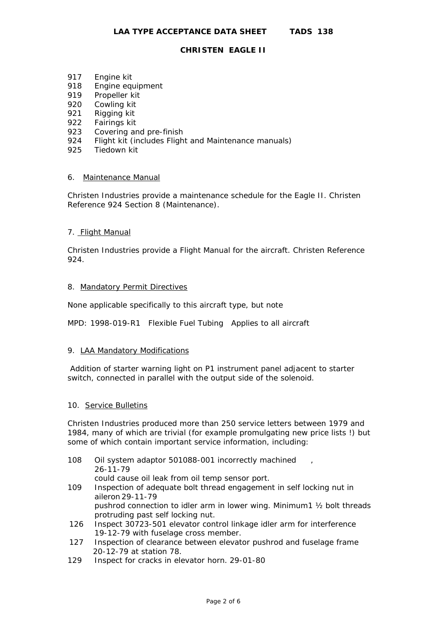- 917 Engine kit
- 918 Engine equipment
- 919 Propeller kit
- 920 Cowling kit
- 921 Rigging kit
- 922 Fairings kit
- 923 Covering and pre-finish
- 924 Flight kit (includes Flight and Maintenance manuals)
- 925 Tiedown kit

## 6. Maintenance Manual

Christen Industries provide a maintenance schedule for the Eagle II. Christen Reference 924 Section 8 (Maintenance).

## 7. Flight Manual

Christen Industries provide a Flight Manual for the aircraft. Christen Reference 924.

#### 8. Mandatory Permit Directives

None applicable specifically to this aircraft type, but note

MPD: 1998-019-R1 Flexible Fuel Tubing Applies to all aircraft

#### 9. LAA Mandatory Modifications

 Addition of starter warning light on P1 instrument panel adjacent to starter switch, connected in parallel with the output side of the solenoid.

#### 10. Service Bulletins

Christen Industries produced more than 250 service letters between 1979 and 1984, many of which are trivial (for example promulgating new price lists !) but some of which contain important service information, including:

- 108 Oil system adaptor 501088-001 incorrectly machined 26-11-79
	- could cause oil leak from oil temp sensor port.
- 109 Inspection of adequate bolt thread engagement in self locking nut in aileron 29-11-79 pushrod connection to idler arm in lower wing. Minimum1 ½ bolt threads
- protruding past self locking nut. 126 Inspect 30723-501 elevator control linkage idler arm for interference 19-12-79 with fuselage cross member.
- 127 Inspection of clearance between elevator pushrod and fuselage frame 20-12-79 at station 78.
- 129 Inspect for cracks in elevator horn. 29-01-80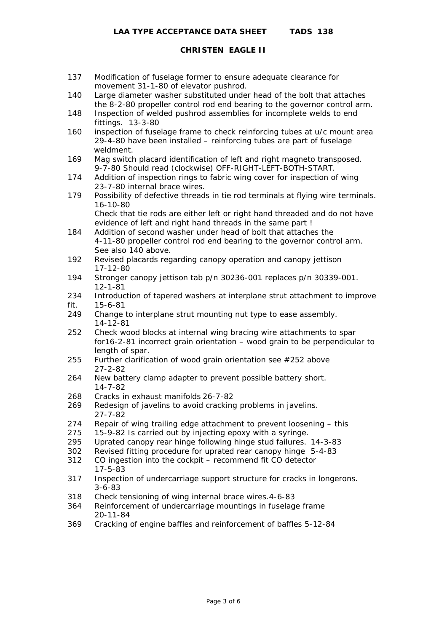- 137 Modification of fuselage former to ensure adequate clearance for movement 31-1-80 of elevator pushrod.
- 140 Large diameter washer substituted under head of the bolt that attaches the 8-2-80 propeller control rod end bearing to the governor control arm.
- 148 Inspection of welded pushrod assemblies for incomplete welds to end fittings. 13-3-80
- 160 inspection of fuselage frame to check reinforcing tubes at u/c mount area 29-4-80 have been installed – reinforcing tubes are part of fuselage weldment.
- 169 Mag switch placard identification of left and right magneto transposed. 9-7-80 Should read (clockwise) OFF-RIGHT-LEFT-BOTH-START.
- 174 Addition of inspection rings to fabric wing cover for inspection of wing 23-7-80 internal brace wires.
- 179 Possibility of defective threads in tie rod terminals at flying wire terminals. 16-10-80

 Check that tie rods are either left or right hand threaded and do not have evidence of left and right hand threads in the same part !

- 184 Addition of second washer under head of bolt that attaches the 4-11-80 propeller control rod end bearing to the governor control arm. See also 140 above.
- 192 Revised placards regarding canopy operation and canopy jettison 17-12-80
- 194 Stronger canopy jettison tab p/n 30236-001 replaces p/n 30339-001. 12-1-81
- 234 Introduction of tapered washers at interplane strut attachment to improve fit. 15-6-81
- 249 Change to interplane strut mounting nut type to ease assembly. 14-12-81
- 252 Check wood blocks at internal wing bracing wire attachments to spar for16-2-81 incorrect grain orientation – wood grain to be perpendicular to length of spar.
- 255 Further clarification of wood grain orientation see #252 above 27-2-82
- 264 New battery clamp adapter to prevent possible battery short. 14-7-82
- 268 Cracks in exhaust manifolds 26-7-82
- 269 Redesign of javelins to avoid cracking problems in javelins. 27-7-82
- 274 Repair of wing trailing edge attachment to prevent loosening this
- 275 15-9-82 Is carried out by injecting epoxy with a syringe.
- 295 Uprated canopy rear hinge following hinge stud failures. 14-3-83
- 302 Revised fitting procedure for uprated rear canopy hinge 5-4-83
- 312 CO ingestion into the cockpit recommend fit CO detector 17-5-83
- 317 Inspection of undercarriage support structure for cracks in longerons. 3-6-83
- 318 Check tensioning of wing internal brace wires.4-6-83
- 364 Reinforcement of undercarriage mountings in fuselage frame 20-11-84
- 369 Cracking of engine baffles and reinforcement of baffles 5-12-84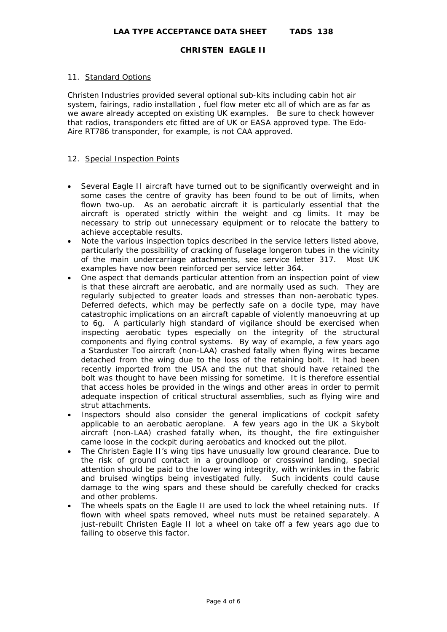### 11. Standard Options

Christen Industries provided several optional sub-kits including cabin hot air system, fairings, radio installation , fuel flow meter etc all of which are as far as we aware already accepted on existing UK examples. Be sure to check however that radios, transponders etc fitted are of UK or EASA approved type. The Edo-Aire RT786 transponder, for example, is not CAA approved.

#### 12. Special Inspection Points

- Several Eagle II aircraft have turned out to be significantly overweight and in some cases the centre of gravity has been found to be out of limits, when flown two-up. As an aerobatic aircraft it is particularly essential that the aircraft is operated strictly within the weight and cg limits. It may be necessary to strip out unnecessary equipment or to relocate the battery to achieve acceptable results.
- Note the various inspection topics described in the service letters listed above, particularly the possibility of cracking of fuselage longeron tubes in the vicinity of the main undercarriage attachments, see service letter 317. Most UK examples have now been reinforced per service letter 364.
- One aspect that demands particular attention from an inspection point of view is that these aircraft are aerobatic, and are normally used as such. They are regularly subjected to greater loads and stresses than non-aerobatic types. Deferred defects, which may be perfectly safe on a docile type, may have catastrophic implications on an aircraft capable of violently manoeuvring at up to 6g. A particularly high standard of vigilance should be exercised when inspecting aerobatic types especially on the integrity of the structural components and flying control systems. By way of example, a few years ago a Starduster Too aircraft (non-LAA) crashed fatally when flying wires became detached from the wing due to the loss of the retaining bolt. It had been recently imported from the USA and the nut that should have retained the bolt was thought to have been missing for sometime. It is therefore essential that access holes be provided in the wings and other areas in order to permit adequate inspection of critical structural assemblies, such as flying wire and strut attachments.
- Inspectors should also consider the general implications of cockpit safety applicable to an aerobatic aeroplane. A few years ago in the UK a Skybolt aircraft (non-LAA) crashed fatally when, its thought, the fire extinguisher came loose in the cockpit during aerobatics and knocked out the pilot.
- The Christen Eagle II's wing tips have unusually low ground clearance. Due to the risk of ground contact in a groundloop or crosswind landing, special attention should be paid to the lower wing integrity, with wrinkles in the fabric and bruised wingtips being investigated fully. Such incidents could cause damage to the wing spars and these should be carefully checked for cracks and other problems.
- The wheels spats on the Eagle II are used to lock the wheel retaining nuts. If flown with wheel spats removed, wheel nuts must be retained separately. A just-rebuilt Christen Eagle II lot a wheel on take off a few years ago due to failing to observe this factor.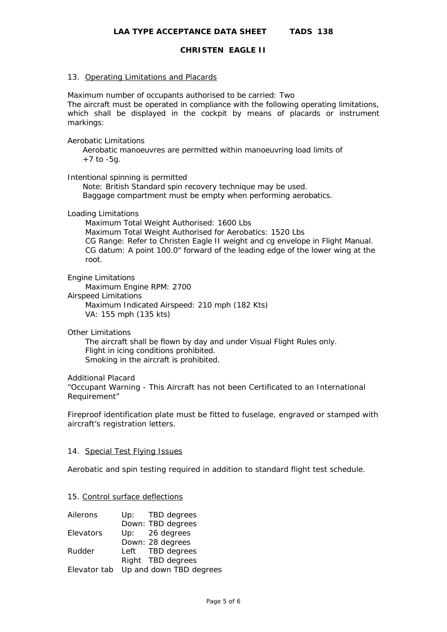#### 13. Operating Limitations and Placards

Maximum number of occupants authorised to be carried: Two The aircraft must be operated in compliance with the following operating limitations, which shall be displayed in the cockpit by means of placards or instrument markings:

#### Aerobatic Limitations

 Aerobatic manoeuvres are permitted within manoeuvring load limits of  $+7$  to  $-5q$ .

## Intentional spinning is permitted

 Note: British Standard spin recovery technique may be used. Baggage compartment must be empty when performing aerobatics.

#### Loading Limitations

 Maximum Total Weight Authorised: 1600 Lbs Maximum Total Weight Authorised for Aerobatics: 1520 Lbs CG Range: Refer to Christen Eagle II weight and cg envelope in Flight Manual. CG datum: A point 100.0" forward of the leading edge of the lower wing at the root.

#### Engine Limitations

 Maximum Engine RPM: 2700 Airspeed Limitations Maximum Indicated Airspeed: 210 mph (182 Kts) VA: 155 mph (135 kts)

#### Other Limitations

 The aircraft shall be flown by day and under Visual Flight Rules only. Flight in icing conditions prohibited. Smoking in the aircraft is prohibited.

## Additional Placard

"Occupant Warning - This Aircraft has not been Certificated to an International Requirement"

Fireproof identification plate must be fitted to fuselage, engraved or stamped with aircraft's registration letters.

#### 14. Special Test Flying Issues

Aerobatic and spin testing required in addition to standard flight test schedule.

#### 15. Control surface deflections

| Ailerons  | Up: TBD degrees                      |
|-----------|--------------------------------------|
|           | Down: TBD degrees                    |
| Elevators | Up: 26 degrees                       |
|           | Down: 28 degrees                     |
| Rudder    | Left TBD degrees                     |
|           | Right TBD degrees                    |
|           | Elevator tab Up and down TBD degrees |